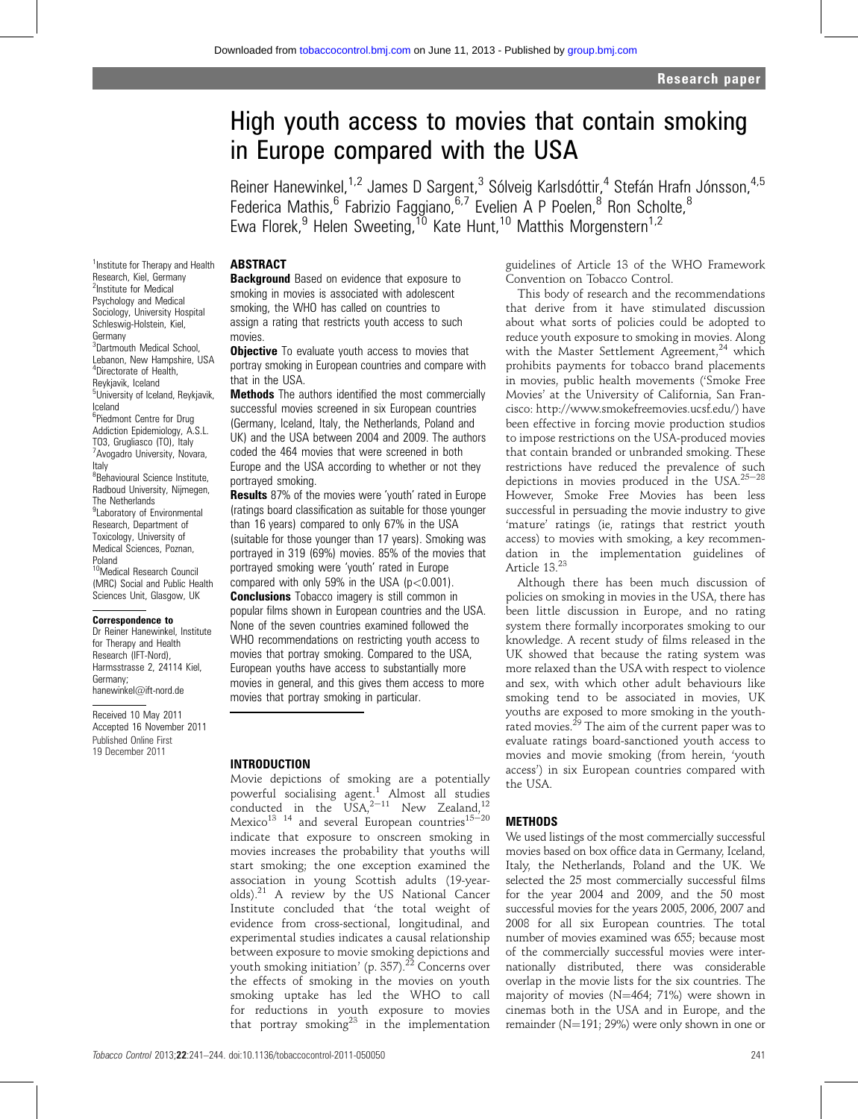# High youth access to movies that contain smoking in Europe compared with the USA

Reiner Hanewinkel,<sup>1,2</sup> James D Sargent,<sup>3</sup> Sólveig Karlsdóttir,<sup>4</sup> Stefán Hrafn Jónsson,<sup>4,5</sup> Federica Mathis, <sup>6</sup> Fabrizio Faggiano, 6,7 Evelien A P Poelen, <sup>8</sup> Ron Scholte, <sup>8</sup> Ewa Florek,<sup>9</sup> Helen Sweeting,<sup>10</sup> Kate Hunt,<sup>10</sup> Matthis Morgenstern<sup>1,2</sup>

#### ABSTRACT

**Background** Based on evidence that exposure to smoking in movies is associated with adolescent smoking, the WHO has called on countries to assign a rating that restricts youth access to such movies.

**Objective** To evaluate youth access to movies that portray smoking in European countries and compare with that in the USA.

Methods The authors identified the most commercially successful movies screened in six European countries (Germany, Iceland, Italy, the Netherlands, Poland and UK) and the USA between 2004 and 2009. The authors coded the 464 movies that were screened in both Europe and the USA according to whether or not they portrayed smoking.

**Results** 87% of the movies were 'youth' rated in Europe (ratings board classification as suitable for those younger than 16 years) compared to only 67% in the USA (suitable for those younger than 17 years). Smoking was portrayed in 319 (69%) movies. 85% of the movies that portrayed smoking were 'youth' rated in Europe compared with only 59% in the USA  $(p<0.001)$ .

**Conclusions** Tobacco imagery is still common in popular films shown in European countries and the USA. None of the seven countries examined followed the WHO recommendations on restricting youth access to movies that portray smoking. Compared to the USA, European youths have access to substantially more movies in general, and this gives them access to more movies that portray smoking in particular.

#### INTRODUCTION

Movie depictions of smoking are a potentially powerful socialising agent.<sup>1</sup> Almost all studies conducted in the  $USA<sub>2</sub><sup>2–11</sup>$  New Zealand,<sup>12</sup> Conducted in the Obst,  $\frac{1}{100}$   $\frac{1}{15}$   $\frac{1}{20}$ <br>Mexico<sup>13</sup> <sup>14</sup> and several European countries<sup>15–20</sup> indicate that exposure to onscreen smoking in movies increases the probability that youths will start smoking; the one exception examined the association in young Scottish adults (19-yearolds).<sup>21</sup> A review by the US National Cancer Institute concluded that 'the total weight of evidence from cross-sectional, longitudinal, and experimental studies indicates a causal relationship between exposure to movie smoking depictions and youth smoking initiation' (p. 357). $22$  Concerns over the effects of smoking in the movies on youth smoking uptake has led the WHO to call for reductions in youth exposure to movies that portray smoking<sup>23</sup> in the implementation

guidelines of Article 13 of the WHO Framework Convention on Tobacco Control.

This body of research and the recommendations that derive from it have stimulated discussion about what sorts of policies could be adopted to reduce youth exposure to smoking in movies. Along with the Master Settlement Agreement,<sup>24</sup> which prohibits payments for tobacco brand placements in movies, public health movements ('Smoke Free Movies' at the University of California, San Francisco: http://www.smokefreemovies.ucsf.edu/) have been effective in forcing movie production studios to impose restrictions on the USA-produced movies that contain branded or unbranded smoking. These restrictions have reduced the prevalence of such depictions in movies produced in the USA. $25-28$ However, Smoke Free Movies has been less successful in persuading the movie industry to give 'mature' ratings (ie, ratings that restrict youth access) to movies with smoking, a key recommendation in the implementation guidelines of Article 13.<sup>23</sup>

Although there has been much discussion of policies on smoking in movies in the USA, there has been little discussion in Europe, and no rating system there formally incorporates smoking to our knowledge. A recent study of films released in the UK showed that because the rating system was more relaxed than the USA with respect to violence and sex, with which other adult behaviours like smoking tend to be associated in movies, UK youths are exposed to more smoking in the youthrated movies.<sup>29</sup> The aim of the current paper was to evaluate ratings board-sanctioned youth access to movies and movie smoking (from herein, 'youth access') in six European countries compared with the USA.

# **METHODS**

We used listings of the most commercially successful movies based on box office data in Germany, Iceland, Italy, the Netherlands, Poland and the UK. We selected the 25 most commercially successful films for the year 2004 and 2009, and the 50 most successful movies for the years 2005, 2006, 2007 and 2008 for all six European countries. The total number of movies examined was 655; because most of the commercially successful movies were internationally distributed, there was considerable overlap in the movie lists for the six countries. The majority of movies ( $N=464$ ; 71%) were shown in cinemas both in the USA and in Europe, and the remainder ( $N=191$ ; 29%) were only shown in one or

<sup>2</sup>Institute for Medical Psychology and Medical Sociology, University Hospital Schleswig-Holstein, Kiel, Germany 3 Dartmouth Medical School, Lebanon, New Hampshire, USA 4 Directorate of Health, Reykjavik, Iceland <sup>5</sup>University of Iceland, Reykjavik, Iceland <sup>6</sup>Piedmont Centre for Drug Addiction Epidemiology, A.S.L. TO3, Grugliasco (TO), Italy 7 Avogadro University, Novara, Italy 8 Behavioural Science Institute, Radboud University, Nijmegen, The Netherlands <sup>9</sup> Laboratory of Environmental Research, Department of Toxicology, University of Medical Sciences, Poznan, Poland 10Medical Research Council (MRC) Social and Public Health Sciences Unit, Glasgow, UK

1 Institute for Therapy and Health Research, Kiel, Germany

#### Correspondence to

Dr Reiner Hanewinkel, Institute for Therapy and Health Research (IFT-Nord), Harmsstrasse 2, 24114 Kiel, Germany; hanewinkel@ift-nord.de

Received 10 May 2011 Accepted 16 November 2011 Published Online First 19 December 2011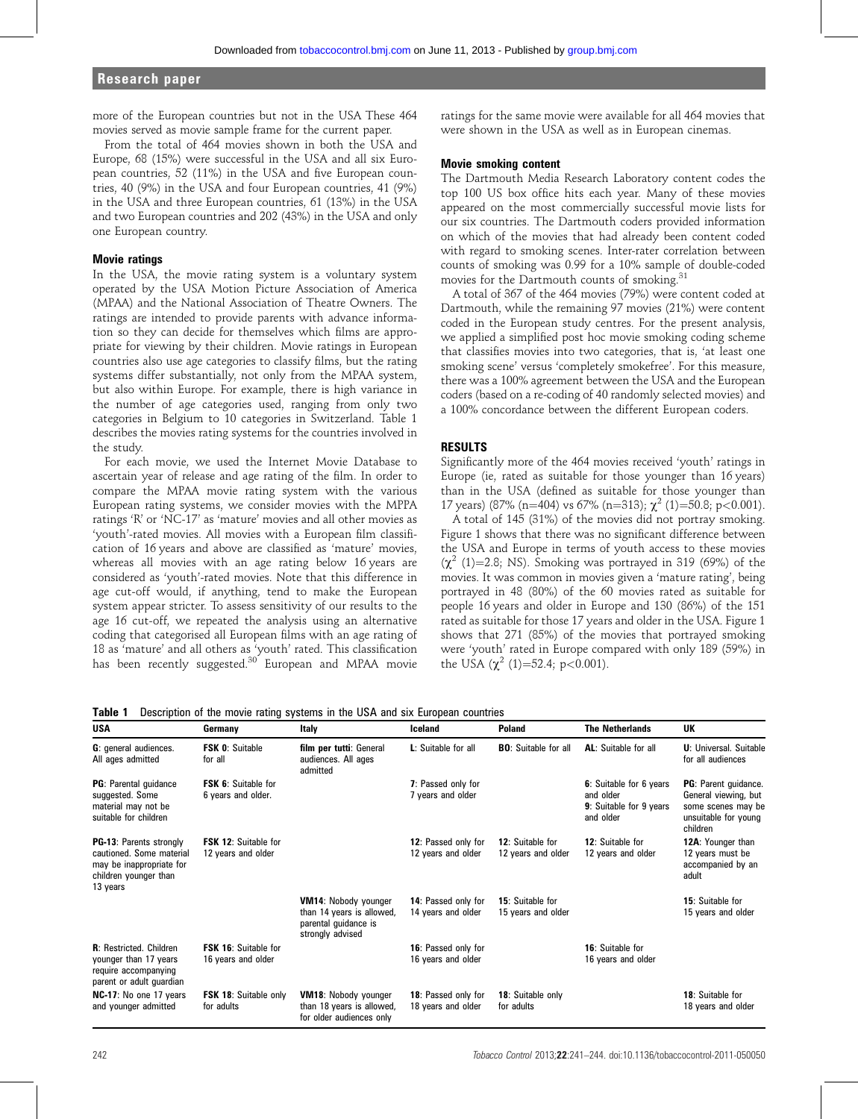more of the European countries but not in the USA These 464 movies served as movie sample frame for the current paper.

From the total of 464 movies shown in both the USA and Europe, 68 (15%) were successful in the USA and all six European countries, 52 (11%) in the USA and five European countries, 40 (9%) in the USA and four European countries, 41 (9%) in the USA and three European countries, 61 (13%) in the USA and two European countries and 202 (43%) in the USA and only one European country.

# Movie ratings

In the USA, the movie rating system is a voluntary system operated by the USA Motion Picture Association of America (MPAA) and the National Association of Theatre Owners. The ratings are intended to provide parents with advance information so they can decide for themselves which films are appropriate for viewing by their children. Movie ratings in European countries also use age categories to classify films, but the rating systems differ substantially, not only from the MPAA system, but also within Europe. For example, there is high variance in the number of age categories used, ranging from only two categories in Belgium to 10 categories in Switzerland. Table 1 describes the movies rating systems for the countries involved in the study.

For each movie, we used the Internet Movie Database to ascertain year of release and age rating of the film. In order to compare the MPAA movie rating system with the various European rating systems, we consider movies with the MPPA ratings 'R' or 'NC-17' as 'mature' movies and all other movies as 'youth'-rated movies. All movies with a European film classification of 16 years and above are classified as 'mature' movies, whereas all movies with an age rating below 16 years are considered as 'youth'-rated movies. Note that this difference in age cut-off would, if anything, tend to make the European system appear stricter. To assess sensitivity of our results to the age 16 cut-off, we repeated the analysis using an alternative coding that categorised all European films with an age rating of 18 as 'mature' and all others as 'youth' rated. This classification has been recently suggested.<sup>30</sup> European and MPAA movie

ratings for the same movie were available for all 464 movies that were shown in the USA as well as in European cinemas.

#### Movie smoking content

The Dartmouth Media Research Laboratory content codes the top 100 US box office hits each year. Many of these movies appeared on the most commercially successful movie lists for our six countries. The Dartmouth coders provided information on which of the movies that had already been content coded with regard to smoking scenes. Inter-rater correlation between counts of smoking was 0.99 for a 10% sample of double-coded movies for the Dartmouth counts of smoking.<sup>31</sup>

A total of 367 of the 464 movies (79%) were content coded at Dartmouth, while the remaining 97 movies (21%) were content coded in the European study centres. For the present analysis, we applied a simplified post hoc movie smoking coding scheme that classifies movies into two categories, that is, 'at least one smoking scene' versus 'completely smokefree'. For this measure, there was a 100% agreement between the USA and the European coders (based on a re-coding of 40 randomly selected movies) and a 100% concordance between the different European coders.

#### RESULTS

Significantly more of the 464 movies received 'youth' ratings in Europe (ie, rated as suitable for those younger than 16 years) than in the USA (defined as suitable for those younger than 17 years) (87% (n=404) vs 67% (n=313);  $\chi^2$  (1)=50.8; p<0.001).

A total of 145 (31%) of the movies did not portray smoking. Figure 1 shows that there was no significant difference between the USA and Europe in terms of youth access to these movies  $(\chi^2 \text{ (1)}=2.8; \text{ NS})$ . Smoking was portrayed in 319 (69%) of the movies. It was common in movies given a 'mature rating', being portrayed in 48 (80%) of the 60 movies rated as suitable for people 16 years and older in Europe and 130 (86%) of the 151 rated as suitable for those 17 years and older in the USA. Figure 1 shows that 271 (85%) of the movies that portrayed smoking were 'youth' rated in Europe compared with only 189 (59%) in the USA  $(\chi^2 (1)=52.4; \text{ p}<0.001)$ .

Table 1 Description of the movie rating systems in the USA and six European countries

| USA                                                                                                                         | Germany                                           | Italy                                                                                                | <b>Iceland</b>                            | <b>Poland</b>                          | <b>The Netherlands</b>                                                               | UK                                                                                                             |
|-----------------------------------------------------------------------------------------------------------------------------|---------------------------------------------------|------------------------------------------------------------------------------------------------------|-------------------------------------------|----------------------------------------|--------------------------------------------------------------------------------------|----------------------------------------------------------------------------------------------------------------|
| G: general audiences.<br>All ages admitted                                                                                  | <b>FSK 0: Suitable</b><br>for all                 | film per tutti: General<br>audiences. All ages<br>admitted                                           | L: Suitable for all                       | <b>BO:</b> Suitable for all            | AL: Suitable for all                                                                 | U: Universal, Suitable<br>for all audiences                                                                    |
| <b>PG</b> : Parental quidance<br>suggested. Some<br>material may not be<br>suitable for children                            | <b>FSK 6: Suitable for</b><br>6 years and older.  |                                                                                                      | 7: Passed only for<br>7 years and older   |                                        | <b>6</b> : Suitable for 6 years<br>and older<br>9: Suitable for 9 years<br>and older | <b>PG</b> : Parent quidance.<br>General viewing, but<br>some scenes may be<br>unsuitable for young<br>children |
| <b>PG-13: Parents strongly</b><br>cautioned. Some material<br>may be inappropriate for<br>children younger than<br>13 years | <b>FSK 12: Suitable for</b><br>12 years and older |                                                                                                      | 12: Passed only for<br>12 years and older | 12: Suitable for<br>12 years and older | 12: Suitable for<br>12 years and older                                               | 12A: Younger than<br>12 years must be<br>accompanied by an<br>adult                                            |
|                                                                                                                             |                                                   | <b>VM14: Nobody younger</b><br>than 14 years is allowed,<br>parental guidance is<br>strongly advised | 14: Passed only for<br>14 years and older | 15: Suitable for<br>15 years and older |                                                                                      | 15: Suitable for<br>15 years and older                                                                         |
| <b>R</b> : Restricted. Children<br>younger than 17 years<br>require accompanying<br>parent or adult guardian                | <b>FSK 16: Suitable for</b><br>16 years and older |                                                                                                      | 16: Passed only for<br>16 years and older |                                        | 16: Suitable for<br>16 years and older                                               |                                                                                                                |
| NC-17: No one 17 years<br>and younger admitted                                                                              | <b>FSK 18: Suitable only</b><br>for adults        | <b>VM18:</b> Nobody younger<br>than 18 years is allowed,<br>for older audiences only                 | 18: Passed only for<br>18 years and older | 18: Suitable only<br>for adults        |                                                                                      | 18: Suitable for<br>18 years and older                                                                         |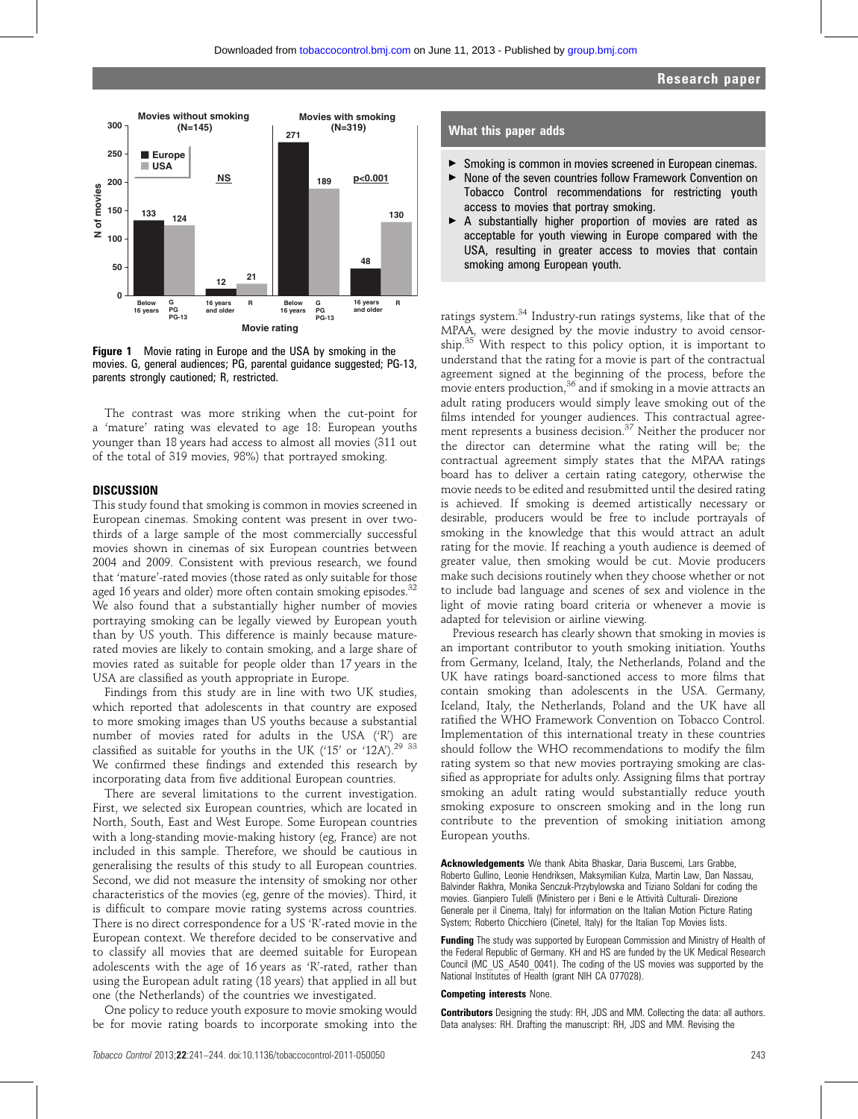

**Figure 1** Movie rating in Europe and the USA by smoking in the movies. G, general audiences; PG, parental guidance suggested; PG-13, parents strongly cautioned; R, restricted.

The contrast was more striking when the cut-point for a 'mature' rating was elevated to age 18: European youths younger than 18 years had access to almost all movies (311 out of the total of 319 movies, 98%) that portrayed smoking.

## **DISCUSSION**

This study found that smoking is common in movies screened in European cinemas. Smoking content was present in over twothirds of a large sample of the most commercially successful movies shown in cinemas of six European countries between 2004 and 2009. Consistent with previous research, we found that 'mature'-rated movies (those rated as only suitable for those aged 16 years and older) more often contain smoking episodes.<sup>32</sup> We also found that a substantially higher number of movies portraying smoking can be legally viewed by European youth than by US youth. This difference is mainly because maturerated movies are likely to contain smoking, and a large share of movies rated as suitable for people older than 17 years in the USA are classified as youth appropriate in Europe.

Findings from this study are in line with two UK studies, which reported that adolescents in that country are exposed to more smoking images than US youths because a substantial number of movies rated for adults in the USA ('R') are classified as suitable for youths in the UK ('15' or '12A').<sup>29 33</sup> We confirmed these findings and extended this research by incorporating data from five additional European countries.

There are several limitations to the current investigation. First, we selected six European countries, which are located in North, South, East and West Europe. Some European countries with a long-standing movie-making history (eg, France) are not included in this sample. Therefore, we should be cautious in generalising the results of this study to all European countries. Second, we did not measure the intensity of smoking nor other characteristics of the movies (eg, genre of the movies). Third, it is difficult to compare movie rating systems across countries. There is no direct correspondence for a US 'R'-rated movie in the European context. We therefore decided to be conservative and to classify all movies that are deemed suitable for European adolescents with the age of 16 years as 'R'-rated, rather than using the European adult rating (18 years) that applied in all but one (the Netherlands) of the countries we investigated.

One policy to reduce youth exposure to movie smoking would be for movie rating boards to incorporate smoking into the

#### What this paper adds

- ▶ Smoking is common in movies screened in European cinemas.
- ▶ None of the seven countries follow Framework Convention on Tobacco Control recommendations for restricting youth access to movies that portray smoking.
- $\triangleright$  A substantially higher proportion of movies are rated as acceptable for youth viewing in Europe compared with the USA, resulting in greater access to movies that contain smoking among European youth.

ratings system.<sup>34</sup> Industry-run ratings systems, like that of the MPAA, were designed by the movie industry to avoid censorship.<sup>35</sup> With respect to this policy option, it is important to understand that the rating for a movie is part of the contractual agreement signed at the beginning of the process, before the movie enters production,<sup>36</sup> and if smoking in a movie attracts an adult rating producers would simply leave smoking out of the films intended for younger audiences. This contractual agreement represents a business decision.<sup>37</sup> Neither the producer nor the director can determine what the rating will be; the contractual agreement simply states that the MPAA ratings board has to deliver a certain rating category, otherwise the movie needs to be edited and resubmitted until the desired rating is achieved. If smoking is deemed artistically necessary or desirable, producers would be free to include portrayals of smoking in the knowledge that this would attract an adult rating for the movie. If reaching a youth audience is deemed of greater value, then smoking would be cut. Movie producers make such decisions routinely when they choose whether or not to include bad language and scenes of sex and violence in the light of movie rating board criteria or whenever a movie is adapted for television or airline viewing.

Previous research has clearly shown that smoking in movies is an important contributor to youth smoking initiation. Youths from Germany, Iceland, Italy, the Netherlands, Poland and the UK have ratings board-sanctioned access to more films that contain smoking than adolescents in the USA. Germany, Iceland, Italy, the Netherlands, Poland and the UK have all ratified the WHO Framework Convention on Tobacco Control. Implementation of this international treaty in these countries should follow the WHO recommendations to modify the film rating system so that new movies portraying smoking are classified as appropriate for adults only. Assigning films that portray smoking an adult rating would substantially reduce youth smoking exposure to onscreen smoking and in the long run contribute to the prevention of smoking initiation among European youths.

Acknowledgements We thank Abita Bhaskar, Daria Buscemi, Lars Grabbe, Roberto Gullino, Leonie Hendriksen, Maksymilian Kulza, Martin Law, Dan Nassau, Balvinder Rakhra, Monika Senczuk-Przybylowska and Tiziano Soldani for coding the movies. Gianpiero Tulelli (Ministero per i Beni e le Attività Culturali- Direzione Generale per il Cinema, Italy) for information on the Italian Motion Picture Rating System; Roberto Chicchiero (Cinetel, Italy) for the Italian Top Movies lists.

Funding The study was supported by European Commission and Ministry of Health of the Federal Republic of Germany. KH and HS are funded by the UK Medical Research Council (MC\_US\_A540\_0041). The coding of the US movies was supported by the National Institutes of Health (grant NIH CA 077028).

#### Competing interests None.

Contributors Designing the study: RH, JDS and MM. Collecting the data: all authors. Data analyses: RH. Drafting the manuscript: RH, JDS and MM. Revising the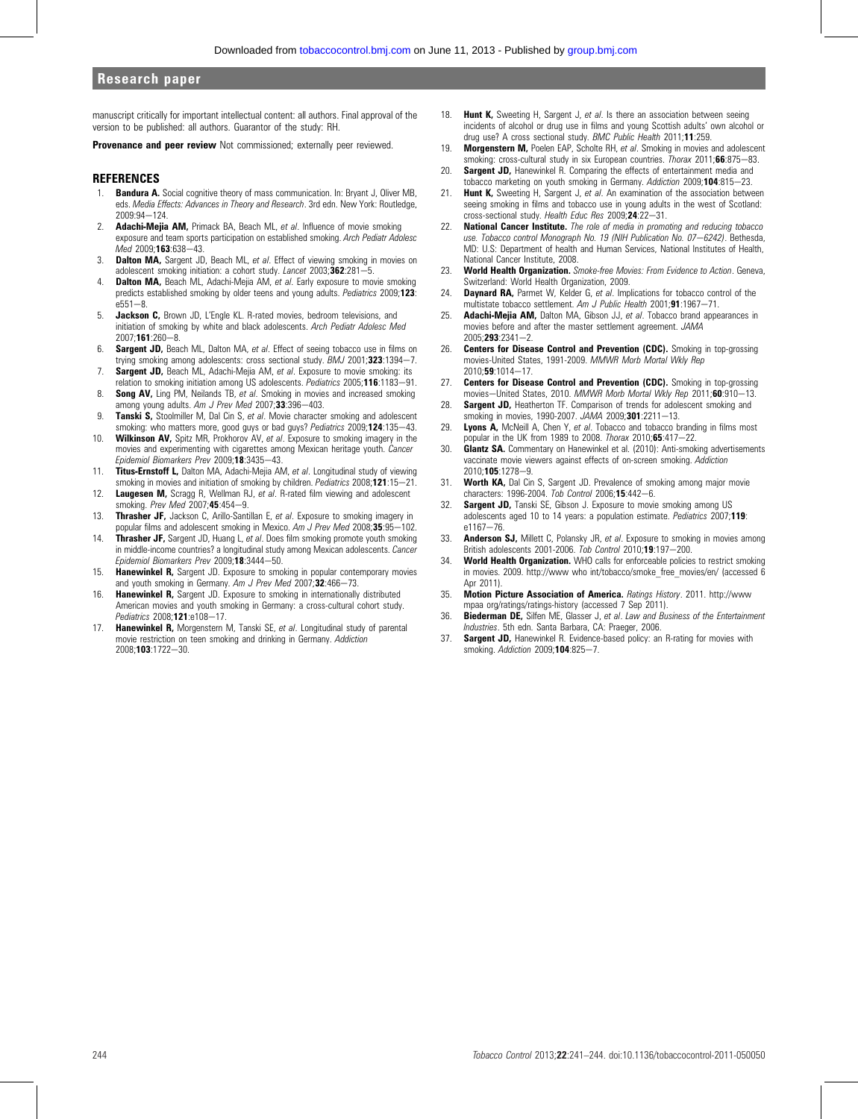# Research paper

manuscript critically for important intellectual content: all authors. Final approval of the version to be published: all authors. Guarantor of the study: RH.

**Provenance and peer review** Not commissioned: externally peer reviewed.

#### REFERENCES

- 1. **Bandura A.** Social cognitive theory of mass communication. In: Bryant J, Oliver MB, eds. Media Effects: Advances in Theory and Research. 3rd edn. New York: Routledge,  $2009.94 - 124$
- 2. **Adachi-Mejia AM,** Primack BA, Beach ML, et al. Influence of movie smoking exposure and team sports participation on established smoking. Arch Pediatr Adolesc Med 2009;163:638-43.
- 3. **Dalton MA,** Sargent JD, Beach ML, et al. Effect of viewing smoking in movies on adolescent smoking initiation: a cohort study. Lancet 2003;362:281-5.
- 4. **Dalton MA,** Beach ML, Adachi-Mejia AM, et al. Early exposure to movie smoking predicts established smoking by older teens and young adults. Pediatrics 2009;123:  $e551 - 8$
- 5. Jackson C, Brown JD, L'Engle KL. R-rated movies, bedroom televisions, and initiation of smoking by white and black adolescents. Arch Pediatr Adolesc Med  $2007:161:260 - 8$
- 6. Sargent JD, Beach ML, Dalton MA, et al. Effect of seeing tobacco use in films on trying smoking among adolescents: cross sectional study. BMJ 2001;323:1394-7.
- 7. Sargent JD, Beach ML, Adachi-Mejia AM, et al. Exposure to movie smoking: its relation to smoking initiation among US adolescents. Pediatrics 2005;116:1183-91.
- 8. Song AV, Ling PM, Neilands TB, et al. Smoking in movies and increased smoking among young adults. Am J Prev Med  $2007;33:396-403$ .
- 9. Tanski S, Stoolmiller M, Dal Cin S, et al. Movie character smoking and adolescent smoking: who matters more, good guys or bad guys? Pediatrics 2009;124:135-43.
- 10. **Wilkinson AV,** Spitz MR, Prokhorov AV, et al. Exposure to smoking imagery in the movies and experimenting with cigarettes among Mexican heritage youth. Cancer Epidemiol Biomarkers Prev 2009;18:3435-43.
- 11. Titus-Ernstoff L, Dalton MA, Adachi-Mejia AM, et al. Longitudinal study of viewing smoking in movies and initiation of smoking by children. Pediatrics 2008;121:15-21.
- 12. Laugesen M, Scragg R, Wellman RJ, et al. R-rated film viewing and adolescent smoking. Prev Med 2007:45:454-9.
- 13. Thrasher JF, Jackson C, Arillo-Santillan E, et al. Exposure to smoking imagery in popular films and adolescent smoking in Mexico.  $Am$  J Prev Med 2008;35:95-102.
- 14. **Thrasher JF,** Sargent JD, Huang L, et al. Does film smoking promote youth smoking in middle-income countries? a longitudinal study among Mexican adolescents. Cancer  $Findemiol. *Binary Press, Prov* 2009:  $18:3444-50$ .$
- 15. Hanewinkel R, Sargent JD. Exposure to smoking in popular contemporary movies and youth smoking in Germany. Am J Prev Med 2007;32:466-73.
- 16. **Hanewinkel R,** Sargent JD. Exposure to smoking in internationally distributed American movies and youth smoking in Germany: a cross-cultural cohort study. Pediatrics 2008:121:e108-17.
- 17. Hanewinkel R, Morgenstern M, Tanski SE, et al. Longitudinal study of parental movie restriction on teen smoking and drinking in Germany. Addiction 2008;103:1722-30.
- 18. **Hunt K,** Sweeting H, Sargent J, et al. Is there an association between seeing incidents of alcohol or drug use in films and young Scottish adults' own alcohol or drug use? A cross sectional study. BMC Public Health 2011;11:259.
- 19. **Morgenstern M,** Poelen EAP, Scholte RH, et al. Smoking in movies and adolescent smoking: cross-cultural study in six European countries. Thorax 2011:66:875-83.
- 20. Sargent JD, Hanewinkel R. Comparing the effects of entertainment media and tobacco marketing on youth smoking in Germany. Addiction 2009;104:815-23.
- 21. Hunt K, Sweeting H, Sargent J, et al. An examination of the association between seeing smoking in films and tobacco use in young adults in the west of Scotland: cross-sectional study. Health Educ Res  $2009$ ; $24$ : $22-31$ .
- 22. National Cancer Institute. The role of media in promoting and reducing tobacco use. Tobacco control Monograph No. 19 (NIH Publication No. 07-6242). Bethesda, MD: U.S: Department of health and Human Services, National Institutes of Health, National Cancer Institute, 2008.
- 23. World Health Organization. Smoke-free Movies: From Evidence to Action. Geneva. Switzerland: World Health Organization, 2009.
- 24. Daynard RA, Parmet W, Kelder G, et al. Implications for tobacco control of the multistate tobacco settlement. Am J Public Health 2001;91:1967-71.
- Adachi-Mejia AM, Dalton MA, Gibson JJ, et al. Tobacco brand appearances in movies before and after the master settlement agreement. JAMA  $2005:293:2341 - 2$
- Centers for Disease Control and Prevention (CDC). Smoking in top-grossing movies-United States, 1991-2009. MMWR Morb Mortal Wkly Rep 2010:59:1014-17.
- 27. **Centers for Disease Control and Prevention (CDC).** Smoking in top-grossing movies-United States, 2010. MMWR Morb Mortal Wkly Rep 2011;60:910-13.
- 28. **Sargent JD.** Heatherton TF. Comparison of trends for adolescent smoking and smoking in movies, 1990-2007. JAMA 2009;301:2211-13.
- 29. Lyons A, McNeill A, Chen Y, et al. Tobacco and tobacco branding in films most popular in the UK from 1989 to 2008. Thorax  $2010;65:417-22$ .
- 30. Glantz SA. Commentary on Hanewinkel et al. (2010): Anti-smoking advertisements vaccinate movie viewers against effects of on-screen smoking. Addiction 2010;105:1278-9.
- 31. Worth KA, Dal Cin S, Sargent JD. Prevalence of smoking among major movie characters: 1996-2004. Tob Control 2006:15:442-6.
- 32. Sargent JD, Tanski SE, Gibson J. Exposure to movie smoking among US adolescents aged 10 to 14 years: a population estimate. Pediatrics 2007;119: e1167-76.
- 33. **Anderson SJ, Millett C, Polansky JR, et al. Exposure to smoking in movies among** British adolescents 2001-2006. Tob Control 2010;19:197-200.
- 34. World Health Organization. WHO calls for enforceable policies to restrict smoking in movies. 2009. http://www who int/tobacco/smoke\_free\_movies/en/ (accessed 6 Apr 2011).
- 35. Motion Picture Association of America. Ratings History. 2011. http://www mpaa org/ratings/ratings-history (accessed 7 Sep 2011).
- 36. Biederman DE, Silfen ME, Glasser J, et al. Law and Business of the Entertainment Industries. 5th edn. Santa Barbara, CA: Praeger, 2006.
- 37. **Sargent JD,** Hanewinkel R. Evidence-based policy: an R-rating for movies with smoking. Addiction  $2009; 104:825 - 7$ .